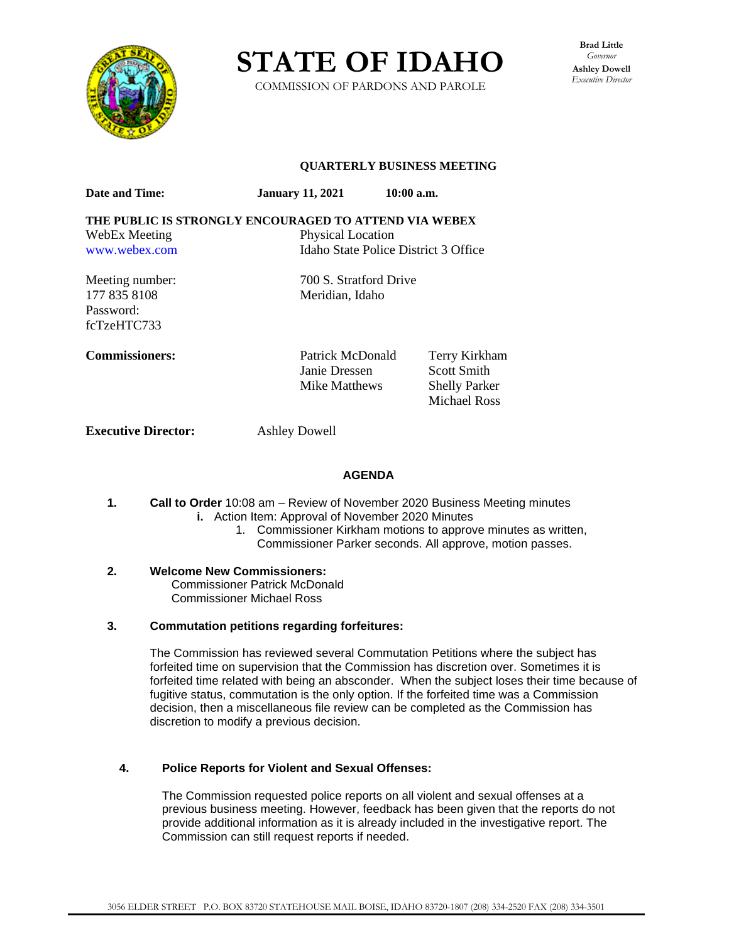

**STATE OF IDAHO**

COMMISSION OF PARDONS AND PAROLE

**Brad Little** *Governor* **Ashley Dowell** *Executive Director*

#### **QUARTERLY BUSINESS MEETING**

Janie Dressen Scott Smith Mike Matthews Shelly Parker

Michael Ross

| <b>Date and Time:</b>                                 | <b>January 11, 2021</b>              | $10:00$ a.m. |               |
|-------------------------------------------------------|--------------------------------------|--------------|---------------|
| THE PUBLIC IS STRONGLY ENCOURAGED TO ATTEND VIA WEBEX |                                      |              |               |
| WebEx Meeting                                         | <b>Physical Location</b>             |              |               |
| www.webex.com                                         | Idaho State Police District 3 Office |              |               |
| Meeting number:                                       | 700 S. Stratford Drive               |              |               |
| 177 835 8108                                          | Meridian, Idaho                      |              |               |
| Password:                                             |                                      |              |               |
| fcTzeHTC733                                           |                                      |              |               |
| <b>Commissioners:</b>                                 | Patrick McDonald                     |              | Terry Kirkham |

**Executive Director:** Ashley Dowell

#### **AGENDA**

- **1. Call to Order** 10:08 am Review of November 2020 Business Meeting minutes **i.** Action Item: Approval of November 2020 Minutes
	- 1. Commissioner Kirkham motions to approve minutes as written, Commissioner Parker seconds. All approve, motion passes.
- **2. Welcome New Commissioners:** Commissioner Patrick McDonald Commissioner Michael Ross

#### **3. Commutation petitions regarding forfeitures:**

The Commission has reviewed several Commutation Petitions where the subject has forfeited time on supervision that the Commission has discretion over. Sometimes it is forfeited time related with being an absconder. When the subject loses their time because of fugitive status, commutation is the only option. If the forfeited time was a Commission decision, then a miscellaneous file review can be completed as the Commission has discretion to modify a previous decision.

#### **4. Police Reports for Violent and Sexual Offenses:**

The Commission requested police reports on all violent and sexual offenses at a previous business meeting. However, feedback has been given that the reports do not provide additional information as it is already included in the investigative report. The Commission can still request reports if needed.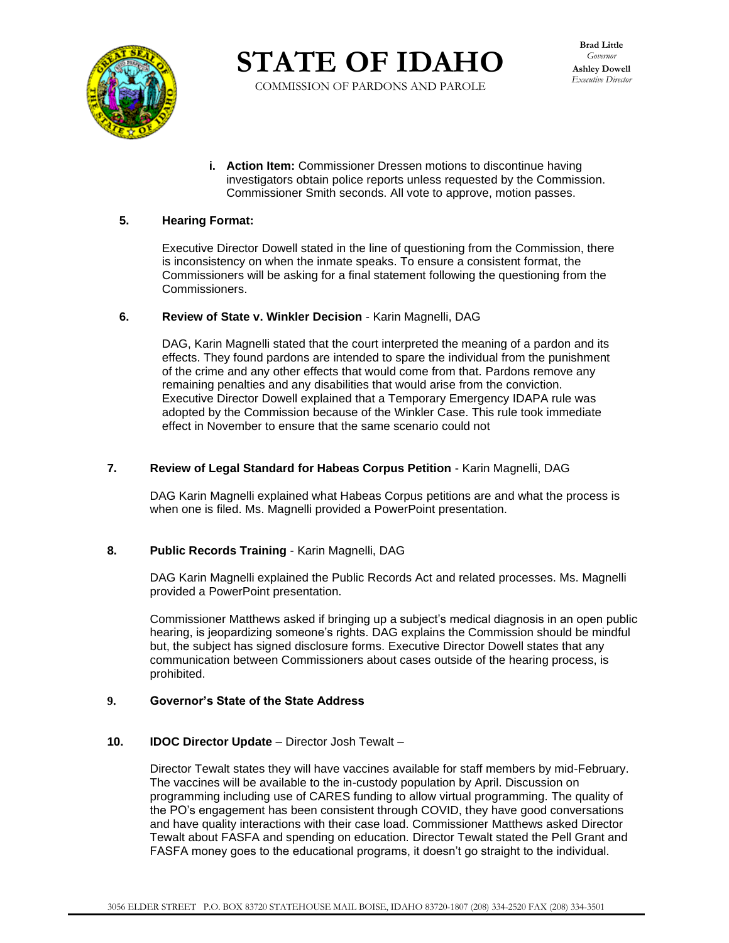

**STATE OF IDAHO**

COMMISSION OF PARDONS AND PAROLE

**i. Action Item:** Commissioner Dressen motions to discontinue having investigators obtain police reports unless requested by the Commission. Commissioner Smith seconds. All vote to approve, motion passes.

## **5. Hearing Format:**

Executive Director Dowell stated in the line of questioning from the Commission, there is inconsistency on when the inmate speaks. To ensure a consistent format, the Commissioners will be asking for a final statement following the questioning from the Commissioners.

#### **6. Review of State v. Winkler Decision** - Karin Magnelli, DAG

DAG, Karin Magnelli stated that the court interpreted the meaning of a pardon and its effects. They found pardons are intended to spare the individual from the punishment of the crime and any other effects that would come from that. Pardons remove any remaining penalties and any disabilities that would arise from the conviction. Executive Director Dowell explained that a Temporary Emergency IDAPA rule was adopted by the Commission because of the Winkler Case. This rule took immediate effect in November to ensure that the same scenario could not

#### **7. Review of Legal Standard for Habeas Corpus Petition** - Karin Magnelli, DAG

DAG Karin Magnelli explained what Habeas Corpus petitions are and what the process is when one is filed. Ms. Magnelli provided a PowerPoint presentation.

#### **8. Public Records Training** - Karin Magnelli, DAG

DAG Karin Magnelli explained the Public Records Act and related processes. Ms. Magnelli provided a PowerPoint presentation.

Commissioner Matthews asked if bringing up a subject's medical diagnosis in an open public hearing, is jeopardizing someone's rights. DAG explains the Commission should be mindful but, the subject has signed disclosure forms. Executive Director Dowell states that any communication between Commissioners about cases outside of the hearing process, is prohibited.

#### **9. Governor's State of the State Address**

#### **10. IDOC Director Update** – Director Josh Tewalt –

Director Tewalt states they will have vaccines available for staff members by mid-February. The vaccines will be available to the in-custody population by April. Discussion on programming including use of CARES funding to allow virtual programming. The quality of the PO's engagement has been consistent through COVID, they have good conversations and have quality interactions with their case load. Commissioner Matthews asked Director Tewalt about FASFA and spending on education. Director Tewalt stated the Pell Grant and FASFA money goes to the educational programs, it doesn't go straight to the individual.